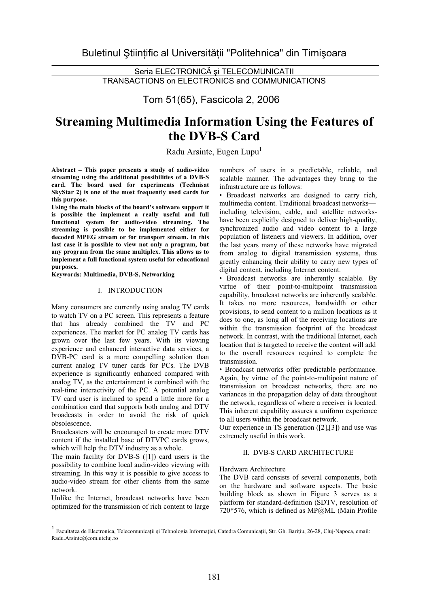Seria ELECTRONICĂ și TELECOMUNICAȚII TRANSACTIONS on ELECTRONICS and COMMUNICATIONS

Tom 51(65), Fascicola 2, 2006

# **Streaming Multimedia Information Using the Features of the DVB-S Card**

Radu Arsinte, Eugen Lupu<sup>1</sup>

**Abstract – This paper presents a study of audio-video streaming using the additional possibilities of a DVB-S card. The board used for experiments (Technisat SkyStar 2) is one of the most frequently used cards for this purpose.** 

**Using the main blocks of the board's software support it is possible the implement a really useful and full functional system for audio-video streaming. The streaming is possible to be implemented either for decoded MPEG stream or for transport stream. In this last case it is possible to view not only a program, but any program from the same multiplex. This allows us to implement a full functional system useful for educational purposes.** 

**Keywords: Multimedia, DVB-S, Networking** 

## I. INTRODUCTION

Many consumers are currently using analog TV cards to watch TV on a PC screen. This represents a feature that has already combined the TV and PC experiences. The market for PC analog TV cards has grown over the last few years. With its viewing experience and enhanced interactive data services, a DVB-PC card is a more compelling solution than current analog TV tuner cards for PCs. The DVB experience is significantly enhanced compared with analog TV, as the entertainment is combined with the real-time interactivity of the PC. A potential analog TV card user is inclined to spend a little more for a combination card that supports both analog and DTV broadcasts in order to avoid the risk of quick obsolescence.

Broadcasters will be encouraged to create more DTV content if the installed base of DTVPC cards grows, which will help the DTV industry as a whole.

The main facility for DVB-S ([1]) card users is the possibility to combine local audio-video viewing with streaming. In this way it is possible to give access to audio-video stream for other clients from the same network.

Unlike the Internet, broadcast networks have been optimized for the transmission of rich content to large numbers of users in a predictable, reliable, and scalable manner. The advantages they bring to the infrastructure are as follows:

• Broadcast networks are designed to carry rich, multimedia content. Traditional broadcast networks including television, cable, and satellite networkshave been explicitly designed to deliver high-quality, synchronized audio and video content to a large population of listeners and viewers. In addition, over the last years many of these networks have migrated from analog to digital transmission systems, thus greatly enhancing their ability to carry new types of digital content, including Internet content.

• Broadcast networks are inherently scalable. By virtue of their point-to-multipoint transmission capability, broadcast networks are inherently scalable. It takes no more resources, bandwidth or other provisions, to send content to a million locations as it does to one, as long all of the receiving locations are within the transmission footprint of the broadcast network. In contrast, with the traditional Internet, each location that is targeted to receive the content will add to the overall resources required to complete the transmission.

• Broadcast networks offer predictable performance. Again, by virtue of the point-to-multipoint nature of transmission on broadcast networks, there are no variances in the propagation delay of data throughout the network, regardless of where a receiver is located. This inherent capability assures a uniform experience to all users within the broadcast network.

Our experience in TS generation ([2],[3]) and use was extremely useful in this work.

## II. DVB-S CARD ARCHITECTURE

### Hardware Architecture

The DVB card consists of several components, both on the hardware and software aspects. The basic building block as shown in Figure 3 serves as a platform for standard-definition (SDTV, resolution of 720\*576, which is defined as MP@ML (Main Profile

<sup>1&</sup>lt;br>1 Facultatea de Electronica, Telecomunicații și Tehnologia Informației, Catedra Comunicații, Str. Gh. Barițiu, 26-28, Cluj-Napoca, email: Radu.Arsinte@com.utcluj.ro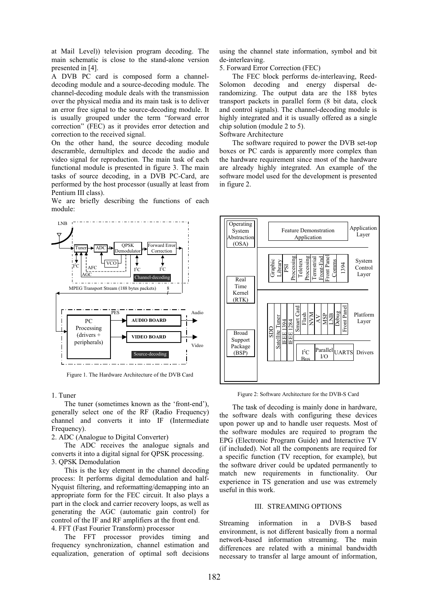at Mail Level)) television program decoding. The main schematic is close to the stand-alone version presented in [4].

A DVB PC card is composed form a channeldecoding module and a source-decoding module. The channel-decoding module deals with the transmission over the physical media and its main task is to deliver an error free signal to the source-decoding module. It is usually grouped under the term "forward error correction" (FEC) as it provides error detection and correction to the received signal.

On the other hand, the source decoding module descramble, demultiplex and decode the audio and video signal for reproduction. The main task of each functional module is presented in figure 3. The main tasks of source decoding, in a DVB PC-Card, are performed by the host processor (usually at least from Pentium III class).

We are briefly describing the functions of each module:



Figure 1. The Hardware Architecture of the DVB Card

#### 1. Tuner

 The tuner (sometimes known as the 'front-end'), generally select one of the RF (Radio Frequency) channel and converts it into IF (Intermediate Frequency).

2. ADC (Analogue to Digital Converter)

 The ADC receives the analogue signals and converts it into a digital signal for QPSK processing. 3. QPSK Demodulation

 This is the key element in the channel decoding process: It performs digital demodulation and half-Nyquist filtering, and reformatting/demapping into an appropriate form for the FEC circuit. It also plays a part in the clock and carrier recovery loops, as well as generating the AGC (automatic gain control) for control of the IF and RF amplifiers at the front end. 4. FFT (Fast Fourier Transform) processor

 The FFT processor provides timing and frequency synchronization, channel estimation and equalization, generation of optimal soft decisions using the channel state information, symbol and bit de-interleaving.

5. Forward Error Correction (FEC)

 The FEC block performs de-interleaving, Reed-Solomon decoding and energy dispersal derandomizing. The output data are the 188 bytes transport packets in parallel form (8 bit data, clock and control signals). The channel-decoding module is highly integrated and it is usually offered as a single chip solution (module 2 to 5).

Software Architecture

 The software required to power the DVB set-top boxes or PC cards is apparently more complex than the hardware requirement since most of the hardware are already highly integrated. An example of the software model used for the development is presented in figure 2.



Figure 2: Software Architecture for the DVB-S Card

 The task of decoding is mainly done in hardware, the software deals with configuring these devices upon power up and to handle user requests. Most of the software modules are required to program the EPG (Electronic Program Guide) and Interactive TV (if included). Not all the components are required for a specific function (TV reception, for example), but the software driver could be updated permanently to match new requirements in functionality. Our experience in TS generation and use was extremely useful in this work.

#### III. STREAMING OPTIONS

Streaming information in a DVB-S based environment, is not different basically from a normal network-based information streaming. The main differences are related with a minimal bandwidth necessary to transfer al large amount of information,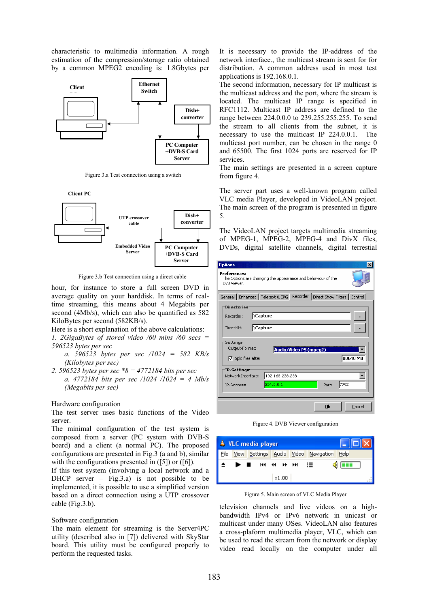characteristic to multimedia information. A rough estimation of the compression/storage ratio obtained by a common MPEG2 encoding is: 1.8Gbytes per



Figure 3.a Test connection using a switch

**PC Computer +DVB-S Card Server Client PC Dish+ converter UTP crossover cable Embedded Video Server** 

Figure 3.b Test connection using a direct cable

hour, for instance to store a full screen DVD in average quality on your harddisk. In terms of realtime streaming, this means about 4 Megabits per second (4Mb/s), which can also be quantified as 582 KiloBytes per second (582KB/s).

Here is a short explanation of the above calculations:

*1. 2GigaBytes of stored video /60 mins /60 secs = 596523 bytes per sec* 

*a. 596523 bytes per sec /1024 = 582 KB/s (Kilobytes per sec)* 

*2. 596523 bytes per sec \*8 = 4772184 bits per sec a. 4772184 bits per sec /1024 /1024 = 4 Mb/s (Megabits per sec)* 

Hardware configuration

The test server uses basic functions of the Video server.

The minimal configuration of the test system is composed from a server (PC system with DVB-S board) and a client (a normal PC). The proposed configurations are presented in Fig.3 (a and b), similar with the configurations presented in  $(5]$ ) or  $(6]$ ).

If this test system (involving a local network and a DHCP server – Fig. 3.a) is not possible to be implemented, it is possible to use a simplified version based on a direct connection using a UTP crossover cable (Fig.3.b).

#### Software configuration

The main element for streaming is the Server4PC utility (described also in [7]) delivered with SkyStar board. This utility must be configured properly to perform the requested tasks.

It is necessary to provide the IP-address of the network interface., the multicast stream is sent for for distribution. A common address used in most test applications is 192.168.0.1.

The second information, necessary for IP multicast is the multicast address and the port, where the stream is located. The multicast IP range is specified in RFC1112. Multicast IP address are defined to the range between 224.0.0.0 to 239.255.255.255. To send the stream to all clients from the subnet, it is necessary to use the multicast IP 224.0.0.1. The multicast port number, can be chosen in the range 0 and 65500. The first 1024 ports are reserved for IP services.

The main settings are presented in a screen capture from figure 4.

The server part uses a well-known program called VLC media Player, developed in VideoLAN project. The main screen of the program is presented in figure 5.

The VideoLAN project targets multimedia streaming of MPEG-1, MPEG-2, MPEG-4 and DivX files, DVDs, digital satellite channels, digital terrestial

| <b>Options</b>                                                                              |                 |                        |       | $\times$ |
|---------------------------------------------------------------------------------------------|-----------------|------------------------|-------|----------|
| Preferences:<br>The Options are changing the appearance and behaviour of the<br>DVR Viewer. |                 |                        |       |          |
| General Enhanced Teletext & EPG Recorder Direct Show Filters [ Control ]                    |                 |                        |       |          |
| <b>Directories</b>                                                                          |                 |                        |       |          |
| ∖Capture<br>Recorder:                                                                       |                 |                        |       |          |
| Timeshift:                                                                                  | <b>\Capture</b> |                        |       |          |
| <b>Settings</b>                                                                             |                 |                        |       |          |
| Output-Format:                                                                              |                 | Audio/Video PS (mpeg2) |       |          |
| $\nabla$ Split files after                                                                  |                 |                        |       | 00640 MB |
| <b>IP-Settings:</b>                                                                         |                 |                        |       |          |
| Network Interface:                                                                          | 192.168.238.238 |                        |       |          |
| IP-Address:                                                                                 | 224.0.0.1       |                        | Port: | 7792     |
|                                                                                             |                 |                        | Ok    | Cancel   |

Figure 4. DVB Viewer configuration



Figure 5. Main screen of VLC Media Player

television channels and live videos on a highbandwidth IPv4 or IPv6 network in unicast or multicast under many OSes. VideoLAN also features a cross-plaform multimedia player, VLC, which can be used to read the stream from the network or display video read locally on the computer under all